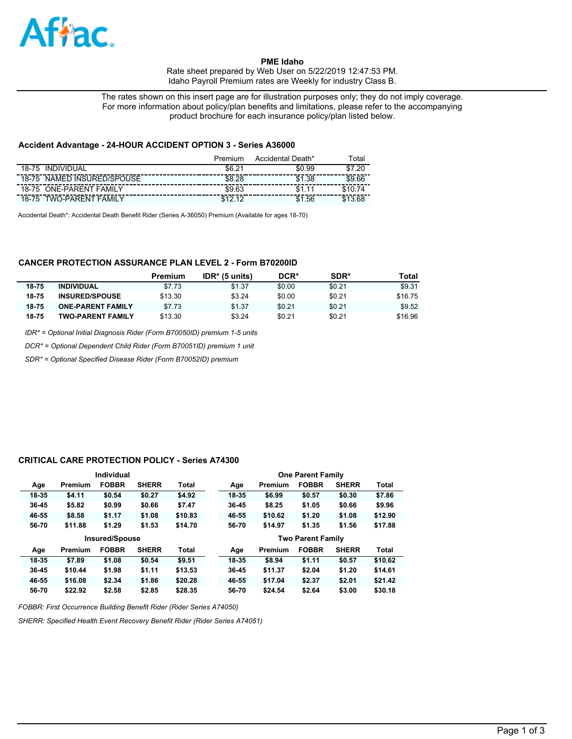

**PME Idaho**  Rate sheet prepared by Web User on 5/22/2019 12:47:53 PM. Idaho Payroll Premium rates are Weekly for industry Class B.

The rates shown on this insert page are for illustration purposes only; they do not imply coverage. For more information about policy/plan benefits and limitations, please refer to the accompanying product brochure for each insurance policy/plan listed below.

### **Accident Advantage - 24-HOUR ACCIDENT OPTION 3 - Series A36000**

|                                   | Premium         | Accidental Death* | <sup>⊤</sup> otal |
|-----------------------------------|-----------------|-------------------|-------------------|
| INDIVIDUAL<br>18-75               | \$6.2<br>$\sim$ | \$0.99            | .20<br>ድ          |
| NAMED INSURED/SPOUSE<br>18-75     | \$8.28          | \$1.38            | \$9.66            |
| <b>ONE-PARENT FAMILY</b><br>18-75 | \$9.63          |                   |                   |
| TWO-PARENT<br>FAMII Y<br>18-75    | $\overline{a}$  | .56<br>\$1        |                   |

Accidental Death\*: Accidental Death Benefit Rider (Series A-36050) Premium (Available for ages 18-70)

## **CANCER PROTECTION ASSURANCE PLAN LEVEL 2 - Form B70200ID**

|       |                          | Premium | $IDR*$ (5 units) | DCR*   | SDR*   | Total   |
|-------|--------------------------|---------|------------------|--------|--------|---------|
| 18-75 | <b>INDIVIDUAL</b>        | \$7.73  | \$1.37           | \$0.00 | \$0.21 | \$9.31  |
| 18-75 | <b>INSURED/SPOUSE</b>    | \$13.30 | \$3.24           | \$0.00 | \$0.21 | \$16.75 |
| 18-75 | <b>ONE-PARENT FAMILY</b> | \$7.73  | \$1.37           | \$0.21 | \$0.21 | \$9.52  |
| 18-75 | <b>TWO-PARENT FAMILY</b> | \$13.30 | \$3.24           | \$0.21 | \$0.21 | \$16.96 |

*IDR\* = Optional Initial Diagnosis Rider (Form B70050ID) premium 1-5 units*

*DCR\* = Optional Dependent Child Rider (Form B70051ID) premium 1 unit*

*SDR\* = Optional Specified Disease Rider (Form B70052ID) premium*

### **CRITICAL CARE PROTECTION POLICY - Series A74300**

| Individual            |         |              |              |              |       |         | <b>One Parent Family</b> |              |         |
|-----------------------|---------|--------------|--------------|--------------|-------|---------|--------------------------|--------------|---------|
| Age                   | Premium | <b>FOBBR</b> | <b>SHERR</b> | <b>Total</b> | Age   | Premium | <b>FOBBR</b>             | <b>SHERR</b> | Total   |
| 18-35                 | \$4.11  | \$0.54       | \$0.27       | \$4.92       | 18-35 | \$6.99  | \$0.57                   | \$0.30       | \$7.86  |
| 36-45                 | \$5.82  | \$0.99       | \$0.66       | \$7.47       | 36-45 | \$8.25  | \$1.05                   | \$0.66       | \$9.96  |
| 46-55                 | \$8.58  | \$1.17       | \$1.08       | \$10.83      | 46-55 | \$10.62 | \$1,20                   | \$1.08       | \$12.90 |
| 56-70                 | \$11.88 | \$1.29       | \$1.53       | \$14.70      | 56-70 | \$14.97 | \$1.35                   | \$1.56       | \$17.88 |
| <b>Insured/Spouse</b> |         |              |              |              |       |         |                          |              |         |
|                       |         |              |              |              |       |         | <b>Two Parent Family</b> |              |         |
| Age                   | Premium | <b>FOBBR</b> | <b>SHERR</b> | <b>Total</b> | Age   | Premium | <b>FOBBR</b>             | <b>SHERR</b> | Total   |
| 18-35                 | \$7.89  | \$1.08       | \$0.54       | \$9.51       | 18-35 | \$8.94  | \$1.11                   | \$0.57       | \$10.62 |
| $36 - 45$             | \$10.44 | \$1.98       | \$1.11       | \$13.53      | 36-45 | \$11.37 | \$2.04                   | \$1,20       | \$14.61 |
| 46-55                 | \$16.08 | \$2.34       | \$1.86       | \$20.28      | 46-55 | \$17.04 | \$2.37                   | \$2.01       | \$21.42 |

*FOBBR: First Occurrence Building Benefit Rider (Rider Series A74050)*

*SHERR: Specified Health Event Recovery Benefit Rider (Rider Series A74051)*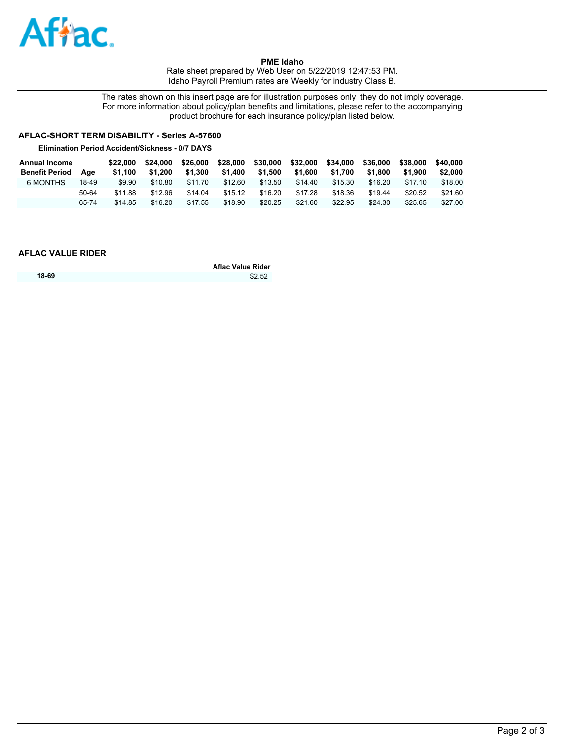

**PME Idaho**  Rate sheet prepared by Web User on 5/22/2019 12:47:53 PM. Idaho Payroll Premium rates are Weekly for industry Class B.

The rates shown on this insert page are for illustration purposes only; they do not imply coverage. For more information about policy/plan benefits and limitations, please refer to the accompanying product brochure for each insurance policy/plan listed below.

# **AFLAC-SHORT TERM DISABILITY - Series A-57600**

**Elimination Period Accident/Sickness - 0/7 DAYS**

| <b>Annual Income</b>  |       | \$22.000 | \$24.000 | \$26,000 | \$28,000 | \$30,000 | \$32,000 | \$34,000 | \$36,000 | \$38,000 | \$40,000 |
|-----------------------|-------|----------|----------|----------|----------|----------|----------|----------|----------|----------|----------|
| <b>Benefit Period</b> | Aae   | \$1.100  | \$1.200  | \$1.300  | \$1.400  | \$1.500  | \$1.600  | \$1.700  | \$1,800  | \$1.900  | \$2,000  |
| 6 MONTHS              | 18-49 | \$9.90   | \$10.80  | \$11.70  | \$12.60  | \$13.50  | \$14.40  | \$15.30  | \$16.20  | \$17.10  | \$18.00  |
|                       | 50-64 | \$11.88  | \$12.96  | \$14.04  | \$15.12  | \$16.20  | \$17.28  | \$18.36  | \$19.44  | \$20.52  | \$21.60  |
|                       | 65-74 | \$14.85  | \$16.20  | \$17.55  | \$18.90  | \$20.25  | \$21.60  | \$22.95  | \$24.30  | \$25.65  | \$27.00  |

## **AFLAC VALUE RIDER**

|       | <b>Aflac Value Rider</b> |
|-------|--------------------------|
| 18-69 | \$2.52                   |